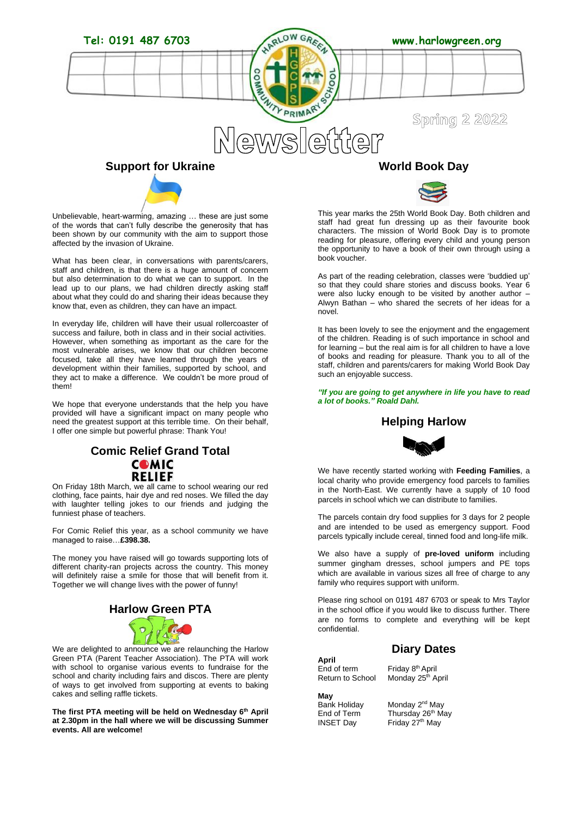

Unbelievable, heart-warming, amazing … these are just some of the words that can't fully describe the generosity that has been shown by our community with the aim to support those affected by the invasion of Ukraine.

What has been clear, in conversations with parents/carers, staff and children, is that there is a huge amount of concern but also determination to do what we can to support. In the lead up to our plans, we had children directly asking staff about what they could do and sharing their ideas because they know that, even as children, they can have an impact.

In everyday life, children will have their usual rollercoaster of success and failure, both in class and in their social activities. However, when something as important as the care for the most vulnerable arises, we know that our children become focused, take all they have learned through the years of development within their families, supported by school, and they act to make a difference. We couldn't be more proud of them!

We hope that everyone understands that the help you have provided will have a significant impact on many people who need the greatest support at this terrible time. On their behalf, I offer one simple but powerful phrase: Thank You!

# **Comic Relief Grand Total COMIC RELIEF RELIEF**<br>On Friday 18th March, we all came to school wearing our red

clothing, face paints, hair dye and red noses. We filled the day with laughter telling jokes to our friends and judging the funniest phase of teachers.

For Comic Relief this year, as a school community we have managed to raise…**£398.38.**

The money you have raised will go towards supporting lots of different charity-ran projects across the country. This money will definitely raise a smile for those that will benefit from it. Together we will change lives with the power of funny!



We are delighted to announce we are relaunching the Harlow Green PTA (Parent Teacher Association). The PTA will work with school to organise various events to fundraise for the school and charity including fairs and discos. There are plenty of ways to get involved from supporting at events to baking cakes and selling raffle tickets.

**The first PTA meeting will be held on Wednesday 6th April at 2.30pm in the hall where we will be discussing Summer events. All are welcome!**



This year marks the 25th World Book Day. Both children and staff had great fun dressing up as their favourite book characters. The mission of World Book Day is to promote reading for pleasure, offering every child and young person the opportunity to have a book of their own through using a book voucher.

As part of the reading celebration, classes were 'buddied up' so that they could share stories and discuss books. Year 6 were also lucky enough to be visited by another author Alwyn Bathan – who shared the secrets of her ideas for a novel.

It has been lovely to see the enjoyment and the engagement of the children. Reading is of such importance in school and for learning – but the real aim is for all children to have a love of books and reading for pleasure. Thank you to all of the staff, children and parents/carers for making World Book Day such an enjoyable success.

*"If you are going to get anywhere in life you have to read a lot of books." Roald Dahl.*

# **Helping Harlow**



We have recently started working with **Feeding Families**, a local charity who provide emergency food parcels to families in the North-East. We currently have a supply of 10 food parcels in school which we can distribute to families.

The parcels contain dry food supplies for 3 days for 2 people and are intended to be used as emergency support. Food parcels typically include cereal, tinned food and long-life milk.

We also have a supply of **pre-loved uniform** including summer gingham dresses, school jumpers and PE tops which are available in various sizes all free of charge to any family who requires support with uniform.

Please ring school on 0191 487 6703 or speak to Mrs Taylor in the school office if you would like to discuss further. There are no forms to complete and everything will be kept confidential.

# **Diary Dates**

**April** End of term Friday 8<sup>th</sup> April<br>Return to School Monday 25<sup>th</sup> A

Monday 25<sup>th</sup> April

**May**

Monday 2<sup>nd</sup> Mav End of Term Thursday 26<sup>th</sup> May<br>INSET Day Friday 27<sup>th</sup> May Friday 27<sup>th</sup> May